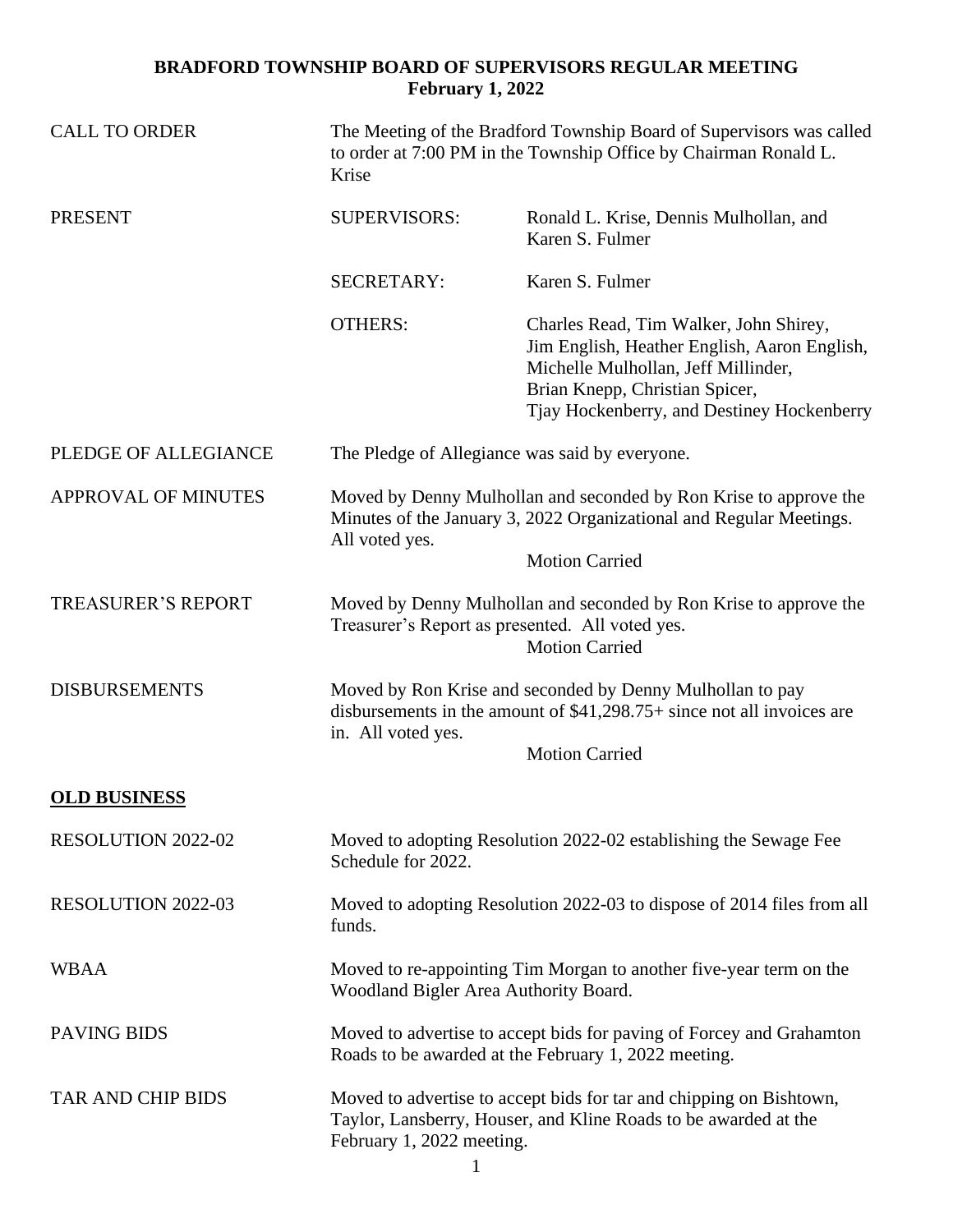## **BRADFORD TOWNSHIP BOARD OF SUPERVISORS REGULAR MEETING February 1, 2022**

| <b>CALL TO ORDER</b>       | The Meeting of the Bradford Township Board of Supervisors was called<br>to order at 7:00 PM in the Township Office by Chairman Ronald L.<br>Krise                                   |                                                                                                                                                                                                               |  |
|----------------------------|-------------------------------------------------------------------------------------------------------------------------------------------------------------------------------------|---------------------------------------------------------------------------------------------------------------------------------------------------------------------------------------------------------------|--|
| <b>PRESENT</b>             | <b>SUPERVISORS:</b>                                                                                                                                                                 | Ronald L. Krise, Dennis Mulhollan, and<br>Karen S. Fulmer                                                                                                                                                     |  |
|                            | <b>SECRETARY:</b>                                                                                                                                                                   | Karen S. Fulmer                                                                                                                                                                                               |  |
|                            | <b>OTHERS:</b>                                                                                                                                                                      | Charles Read, Tim Walker, John Shirey,<br>Jim English, Heather English, Aaron English,<br>Michelle Mulhollan, Jeff Millinder,<br>Brian Knepp, Christian Spicer,<br>Tjay Hockenberry, and Destiney Hockenberry |  |
| PLEDGE OF ALLEGIANCE       | The Pledge of Allegiance was said by everyone.                                                                                                                                      |                                                                                                                                                                                                               |  |
| <b>APPROVAL OF MINUTES</b> | Moved by Denny Mulhollan and seconded by Ron Krise to approve the<br>Minutes of the January 3, 2022 Organizational and Regular Meetings.<br>All voted yes.                          |                                                                                                                                                                                                               |  |
|                            |                                                                                                                                                                                     | <b>Motion Carried</b>                                                                                                                                                                                         |  |
| <b>TREASURER'S REPORT</b>  | Moved by Denny Mulhollan and seconded by Ron Krise to approve the<br>Treasurer's Report as presented. All voted yes.<br><b>Motion Carried</b>                                       |                                                                                                                                                                                                               |  |
| <b>DISBURSEMENTS</b>       | Moved by Ron Krise and seconded by Denny Mulhollan to pay<br>disbursements in the amount of $$41,298.75+$ since not all invoices are<br>in. All voted yes.<br><b>Motion Carried</b> |                                                                                                                                                                                                               |  |
| <b>OLD BUSINESS</b>        |                                                                                                                                                                                     |                                                                                                                                                                                                               |  |
| <b>RESOLUTION 2022-02</b>  | Moved to adopting Resolution 2022-02 establishing the Sewage Fee<br>Schedule for 2022.                                                                                              |                                                                                                                                                                                                               |  |
| RESOLUTION 2022-03         | Moved to adopting Resolution 2022-03 to dispose of 2014 files from all<br>funds.                                                                                                    |                                                                                                                                                                                                               |  |
| <b>WBAA</b>                | Moved to re-appointing Tim Morgan to another five-year term on the<br>Woodland Bigler Area Authority Board.                                                                         |                                                                                                                                                                                                               |  |
| <b>PAVING BIDS</b>         | Moved to advertise to accept bids for paving of Forcey and Grahamton<br>Roads to be awarded at the February 1, 2022 meeting.                                                        |                                                                                                                                                                                                               |  |
| <b>TAR AND CHIP BIDS</b>   | Moved to advertise to accept bids for tar and chipping on Bishtown,<br>Taylor, Lansberry, Houser, and Kline Roads to be awarded at the<br>February 1, 2022 meeting.                 |                                                                                                                                                                                                               |  |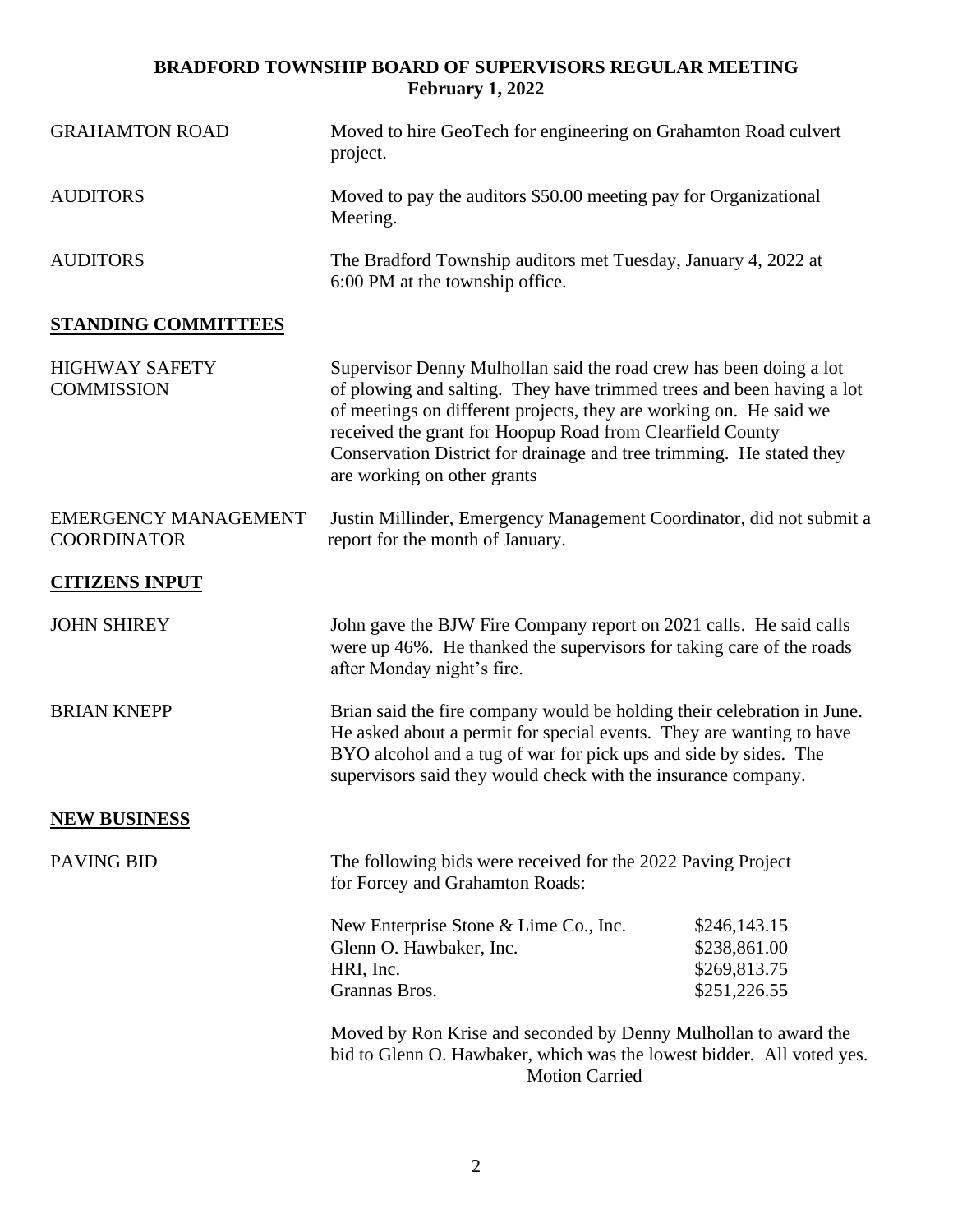## **BRADFORD TOWNSHIP BOARD OF SUPERVISORS REGULAR MEETING February 1, 2022**

| <b>GRAHAMTON ROAD</b>                             | Moved to hire GeoTech for engineering on Grahamton Road culvert<br>project.                                                                                                                                                                                                                                                                                                           |                                                              |  |
|---------------------------------------------------|---------------------------------------------------------------------------------------------------------------------------------------------------------------------------------------------------------------------------------------------------------------------------------------------------------------------------------------------------------------------------------------|--------------------------------------------------------------|--|
| <b>AUDITORS</b>                                   | Moved to pay the auditors \$50.00 meeting pay for Organizational<br>Meeting.                                                                                                                                                                                                                                                                                                          |                                                              |  |
| <b>AUDITORS</b>                                   | The Bradford Township auditors met Tuesday, January 4, 2022 at<br>6:00 PM at the township office.                                                                                                                                                                                                                                                                                     |                                                              |  |
| <b>STANDING COMMITTEES</b>                        |                                                                                                                                                                                                                                                                                                                                                                                       |                                                              |  |
| <b>HIGHWAY SAFETY</b><br><b>COMMISSION</b>        | Supervisor Denny Mulhollan said the road crew has been doing a lot<br>of plowing and salting. They have trimmed trees and been having a lot<br>of meetings on different projects, they are working on. He said we<br>received the grant for Hoopup Road from Clearfield County<br>Conservation District for drainage and tree trimming. He stated they<br>are working on other grants |                                                              |  |
| <b>EMERGENCY MANAGEMENT</b><br><b>COORDINATOR</b> | Justin Millinder, Emergency Management Coordinator, did not submit a<br>report for the month of January.                                                                                                                                                                                                                                                                              |                                                              |  |
| <b>CITIZENS INPUT</b>                             |                                                                                                                                                                                                                                                                                                                                                                                       |                                                              |  |
| <b>JOHN SHIREY</b>                                | John gave the BJW Fire Company report on 2021 calls. He said calls<br>were up 46%. He thanked the supervisors for taking care of the roads<br>after Monday night's fire.                                                                                                                                                                                                              |                                                              |  |
| <b>BRIAN KNEPP</b>                                | Brian said the fire company would be holding their celebration in June.<br>He asked about a permit for special events. They are wanting to have<br>BYO alcohol and a tug of war for pick ups and side by sides. The<br>supervisors said they would check with the insurance company.                                                                                                  |                                                              |  |
| <b>NEW BUSINESS</b>                               |                                                                                                                                                                                                                                                                                                                                                                                       |                                                              |  |
| <b>PAVING BID</b>                                 | The following bids were received for the 2022 Paving Project<br>for Forcey and Grahamton Roads:                                                                                                                                                                                                                                                                                       |                                                              |  |
|                                                   | New Enterprise Stone & Lime Co., Inc.<br>Glenn O. Hawbaker, Inc.<br>HRI, Inc.<br>Grannas Bros.                                                                                                                                                                                                                                                                                        | \$246,143.15<br>\$238,861.00<br>\$269,813.75<br>\$251,226.55 |  |
|                                                   | Moved by Ron Krise and seconded by Denny Mulhollan to award the<br>bid to Glenn O. Hawbaker, which was the lowest bidder. All voted yes.<br><b>Motion Carried</b>                                                                                                                                                                                                                     |                                                              |  |